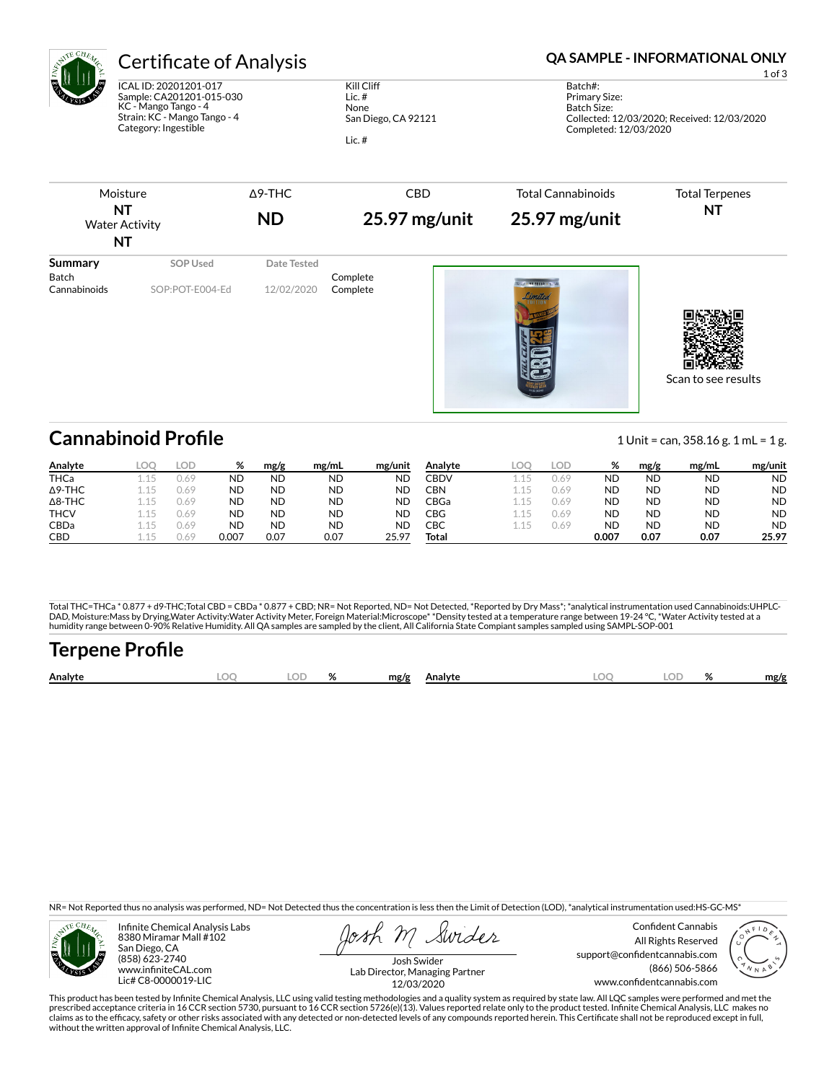

ICAL ID: 20201201-017 Sample: CA201201-015-030 KC - Mango Tango - 4 Strain: KC - Mango Tango - 4 Category: Ingestible

Kill Cliff Lic. # None San Diego, CA 92121 Lic. #

### Certificate of Analysis **Certificate of Analysis QA SAMPLE - INFORMATIONAL ONLY**

1 of 3

Batch#: Primary Size: Batch Size: Collected: 12/03/2020; Received: 12/03/2020 Completed: 12/03/2020

| Moisture<br>NT<br><b>Water Activity</b><br><b>NT</b> |                             | <b>ND</b>                 | 25.97 mg/unit<br>$25.97$ mg/unit |                         | <b>Total Terpenes</b><br>NT |
|------------------------------------------------------|-----------------------------|---------------------------|----------------------------------|-------------------------|-----------------------------|
| Summary<br><b>Batch</b><br>Cannabinoids              | SOP Used<br>SOP:POT-E004-Ed | Date Tested<br>12/02/2020 | Complete<br>Complete             | $-3855332 -$<br>Limited |                             |

Scan to see results

## **Cannabinoid Profile** 1 Unit = can, 358.16 g. 1 mL = 1 g.

**Analyte LOQ LOD % mg/g mg/mL mg/unit** THCa 1.15 0.69 ND ND ND ND Δ9-THC 1.15 0.69 ND ND ND ND Δ8-THC 1.15 0.69 ND ND ND ND **THCV** 1.15 0.69 **ND ND ND ND** CBDa 1.15 0.69 ND ND ND ND CBD 1.15 0.69 0.007 0.07 0.07 25.97 **Analyte LOQ LOD % mg/g mg/mL mg/unit** CBDV 1.15 0.69 ND ND ND ND CBN 1.15 0.69 ND ND ND ND CBGa 1.15 0.69 ND ND ND ND CBG 1.15 0.69 ND ND ND ND CBC 1.15 0.69 ND ND ND ND **Total 0.007 0.07 0.07 25.97**

Total THC=THCa \* 0.877 + d9-THC;Total CBD = CBDa \* 0.877 + CBD; NR= Not Reported, ND= Not Detected, \*Reported by Dry Mass\*; \*analytical instrumentation used Cannabinoids:UHPLC-DAD, Moisture:Mass by Drying,Water Activity:Water Activity Meter, Foreign Material:Microscope\* \*Density tested at a temperature range between 19-24 °C, \*Water Activity tested at a<br>humidity range between 0-90% Relative Humi

# **Terpene Profile**

| Analyte | nr | $\mathbf{a}$ | mg/g | Analvte | ገር<br>∼ | $\alpha$<br>$\sqrt{2}$ | mg/g |
|---------|----|--------------|------|---------|---------|------------------------|------|
|         |    |              |      |         |         |                        |      |

NR= Not Reported thus no analysis was performed, ND= Not Detected thus the concentration is less then the Limit of Detection (LOD), \*analytical instrumentation used:HS-GC-MS\*



Infinite Chemical Analysis Labs 8380 Miramar Mall #102 San Diego, CA (858) 623-2740 www.infiniteCAL.com Lic# C8-0000019-LIC

Swider

Confident Cannabis All Rights Reserved support@confidentcannabis.com (866) 506-5866 www.confidentcannabis.com



Josh Swider Lab Director, Managing Partner 12/03/2020

This product has been tested by Infinite Chemical Analysis, LLC using valid testing methodologies and a quality system as required by state law. All LQC samples were performed and met the prescribed acceptance criteria in 16 CCR section 5730, pursuant to 16 CCR section 5726(e)(13). Values reported relate only to the product tested. Infinite Chemical Analysis, LLC makes no<br>claims as to the efficacy, safety o without the written approval of Infinite Chemical Analysis, LLC.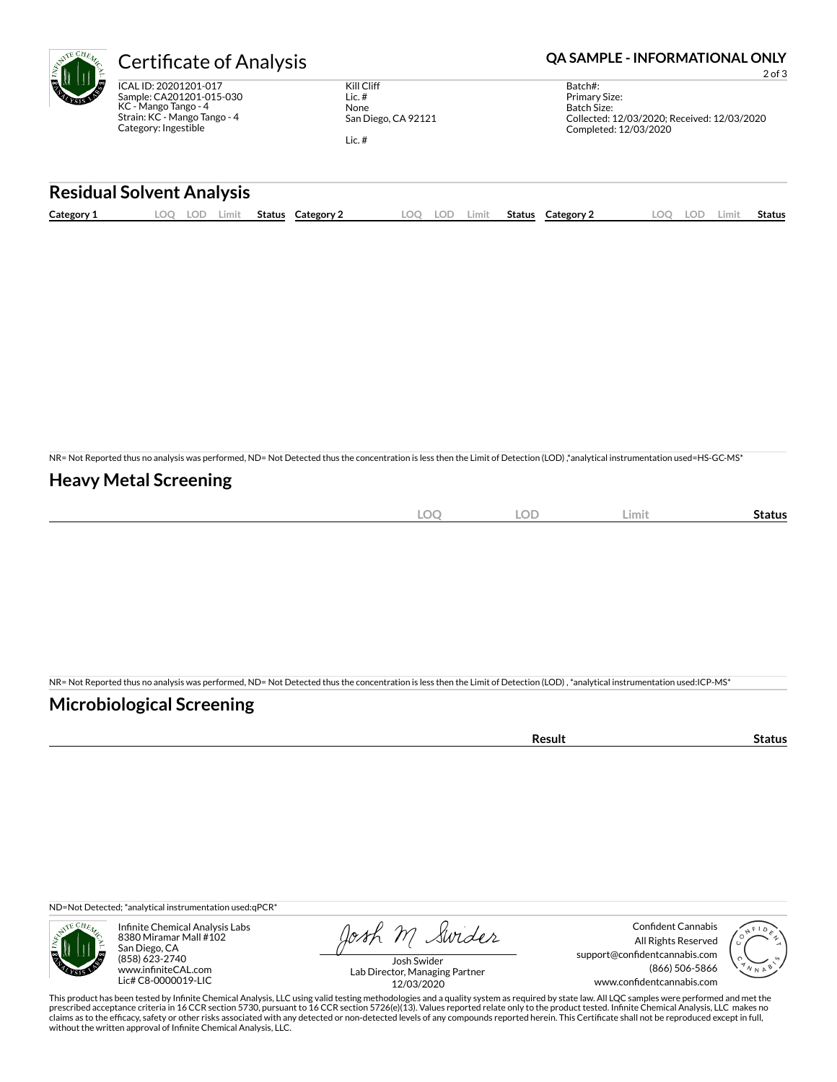| Æ | Certificate o                                                         |
|---|-----------------------------------------------------------------------|
| Š | ICAL ID: 20201201-017<br>Sample: CA201201-015<br>KC - Mango Tango - 4 |

Ñ.

 $.5 - 030$ Strain: KC - Mango Tango - 4 Category: Ingestible

Kill Cliff Lic. # None San Diego, CA 92121 Lic. #

### Of Analysis **CERTICAL STATE OF Analysis CA SAMPLE - INFORMATIONAL ONLY**

2 of 3

| Batch#:                                     |
|---------------------------------------------|
| Primary Size:                               |
| Batch Size:                                 |
| Collected: 12/03/2020: Received: 12/03/2020 |
| Completed: 12/03/2020                       |
|                                             |

#### **Residual Solvent Analysis**

| Category 1 | $\sim$<br><u>.</u> | ا آب ک | Limit | <b>Status</b> | Category | LOO | LOD | .imit | <b>Status</b> | Category 2 | .OO | <b>LOD</b> | Limit | Status |
|------------|--------------------|--------|-------|---------------|----------|-----|-----|-------|---------------|------------|-----|------------|-------|--------|
|            |                    |        |       |               |          |     |     |       |               |            |     |            |       |        |

NR= Not Reported thus no analysis was performed, ND= Not Detected thus the concentration is less then the Limit of Detection (LOD) ,\*analytical instrumentation used=HS-GC-MS\*

#### **Heavy Metal Screening**

| $\widehat{\phantom{m}}$<br><b>All</b><br>$-\!\!\smile$<br>$\sim$ | $\sqrt{2}$<br>LUD | Limit | status |
|------------------------------------------------------------------|-------------------|-------|--------|
|                                                                  |                   |       |        |

NR= Not Reported thus no analysis was performed, ND= Not Detected thus the concentration is less then the Limit of Detection (LOD) , \*analytical instrumentation used:ICP-MS\*

#### **Microbiological Screening**

| −∍uı⊾<br>. |  |
|------------|--|

ND=Not Detected; \*analytical instrumentation used:qPCR\*



Infinite Chemical Analysis Labs 8380 Miramar Mall #102 San Diego, CA (858) 623-2740 www.infiniteCAL.com Lic# C8-0000019-LIC

Josh M Swider

Confident Cannabis All Rights Reserved support@confidentcannabis.com (866) 506-5866 www.confidentcannabis.com



Josh Swider Lab Director, Managing Partner 12/03/2020

This product has been tested by Infinite Chemical Analysis, LLC using valid testing methodologies and a quality system as required by state law. All LQC samples were performed and met the<br>prescribed acceptance criteria in without the written approval of Infinite Chemical Analysis, LLC.